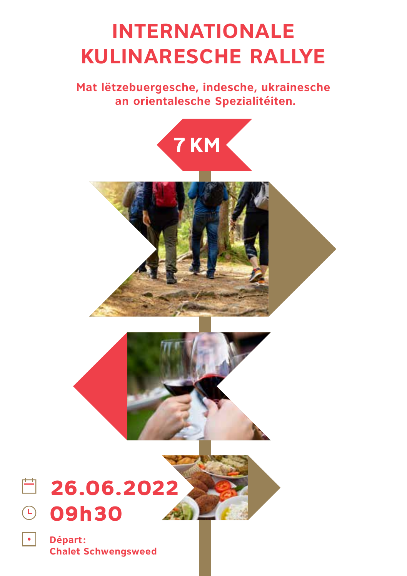## **INTERNATIONALE KULINARESCHE RALLYE**

**Mat lëtzebuergesche, indesche, ukrainesche an orientalesche Spezialitéiten.**



**Départ : Chalet Schwengsweed**

 $\boxed{\bullet}$